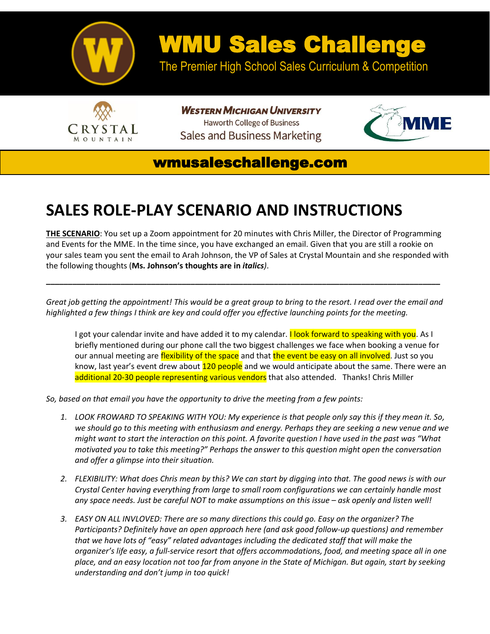

## WMU Sales Challenge

The Premier High School Sales Curriculum & Competition



**WESTERN MICHIGAN UNIVERSITY Haworth College of Business** Sales and Business Marketing



## wmusaleschallenge.com

## **SALES ROLE-PLAY SCENARIO AND INSTRUCTIONS**

**THE SCENARIO**: You set up a Zoom appointment for 20 minutes with Chris Miller, the Director of Programming and Events for the MME. In the time since, you have exchanged an email. Given that you are still a rookie on your sales team you sent the email to Arah Johnson, the VP of Sales at Crystal Mountain and she responded with the following thoughts (**Ms. Johnson's thoughts are in** *italics)*.

*Great job getting the appointment! This would be a great group to bring to the resort. I read over the email and highlighted a few things I think are key and could offer you effective launching points for the meeting.*

**\_\_\_\_\_\_\_\_\_\_\_\_\_\_\_\_\_\_\_\_\_\_\_\_\_\_\_\_\_\_\_\_\_\_\_\_\_\_\_\_\_\_\_\_\_\_\_\_\_\_\_\_\_\_\_\_\_\_\_\_\_\_\_\_\_\_\_\_\_\_\_\_\_\_\_\_\_\_\_\_\_\_\_\_\_\_\_\_\_\_**

I got your calendar invite and have added it to my calendar. I look forward to speaking with you. As I briefly mentioned during our phone call the two biggest challenges we face when booking a venue for our annual meeting are flexibility of the space and that the event be easy on all involved. Just so you know, last year's event drew about 120 people and we would anticipate about the same. There were an additional 20-30 people representing various vendors that also attended. Thanks! Chris Miller

*So, based on that email you have the opportunity to drive the meeting from a few points:*

- *1. LOOK FROWARD TO SPEAKING WITH YOU: My experience is that people only say this if they mean it. So, we should go to this meeting with enthusiasm and energy. Perhaps they are seeking a new venue and we might want to start the interaction on this point. A favorite question I have used in the past was "What motivated you to take this meeting?" Perhaps the answer to this question might open the conversation and offer a glimpse into their situation.*
- *2. FLEXIBILITY: What does Chris mean by this? We can start by digging into that. The good news is with our Crystal Center having everything from large to small room configurations we can certainly handle most any space needs. Just be careful NOT to make assumptions on this issue – ask openly and listen well!*
- *3. EASY ON ALL INVLOVED: There are so many directions this could go. Easy on the organizer? The Participants? Definitely have an open approach here (and ask good follow-up questions) and remember that we have lots of "easy" related advantages including the dedicated staff that will make the organizer's life easy, a full-service resort that offers accommodations, food, and meeting space all in one place, and an easy location not too far from anyone in the State of Michigan. But again, start by seeking understanding and don't jump in too quick!*